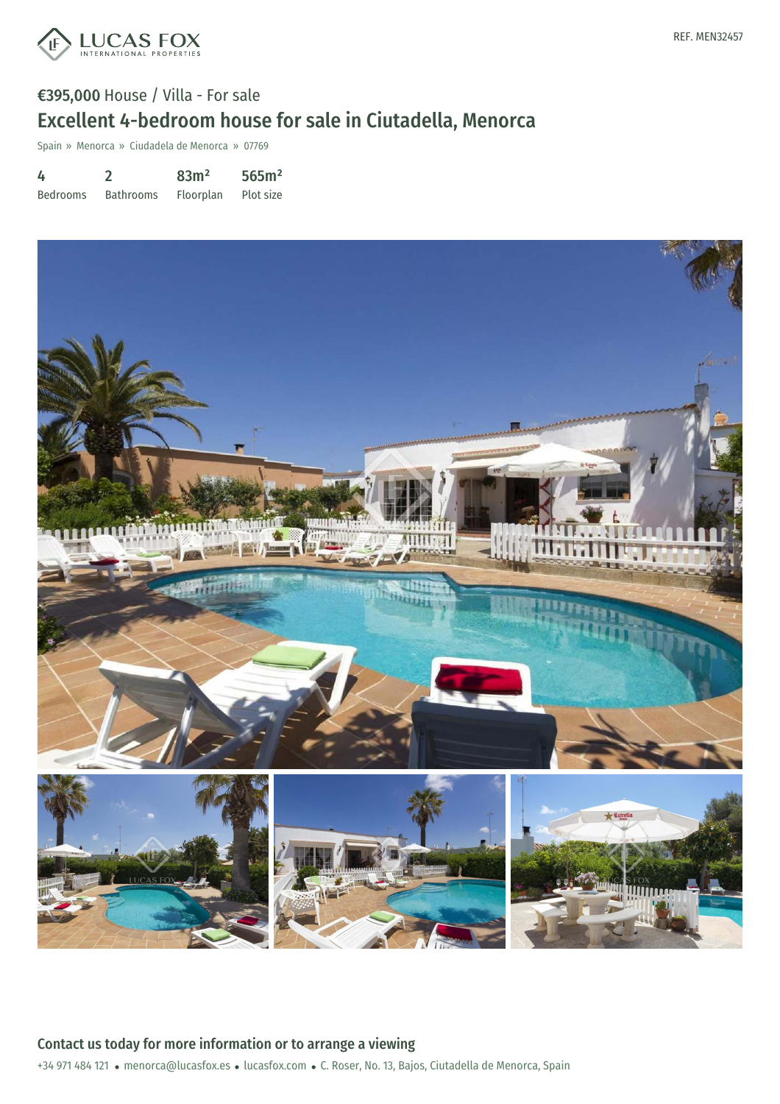

Spain » Menorca » Ciudadela de Menorca » 07769

| 4               |                  | 83m <sup>2</sup> | 565m <sup>2</sup> |
|-----------------|------------------|------------------|-------------------|
| <b>Bedrooms</b> | <b>Bathrooms</b> | Floorplan        | Plot size         |



+34 971 484 121 · menorca@lucasfox.es · lucasfox.com · C. Roser, No. 13, Bajos, Ciutadella de Menorca, Spain Contact us today for more information or to arrange a viewing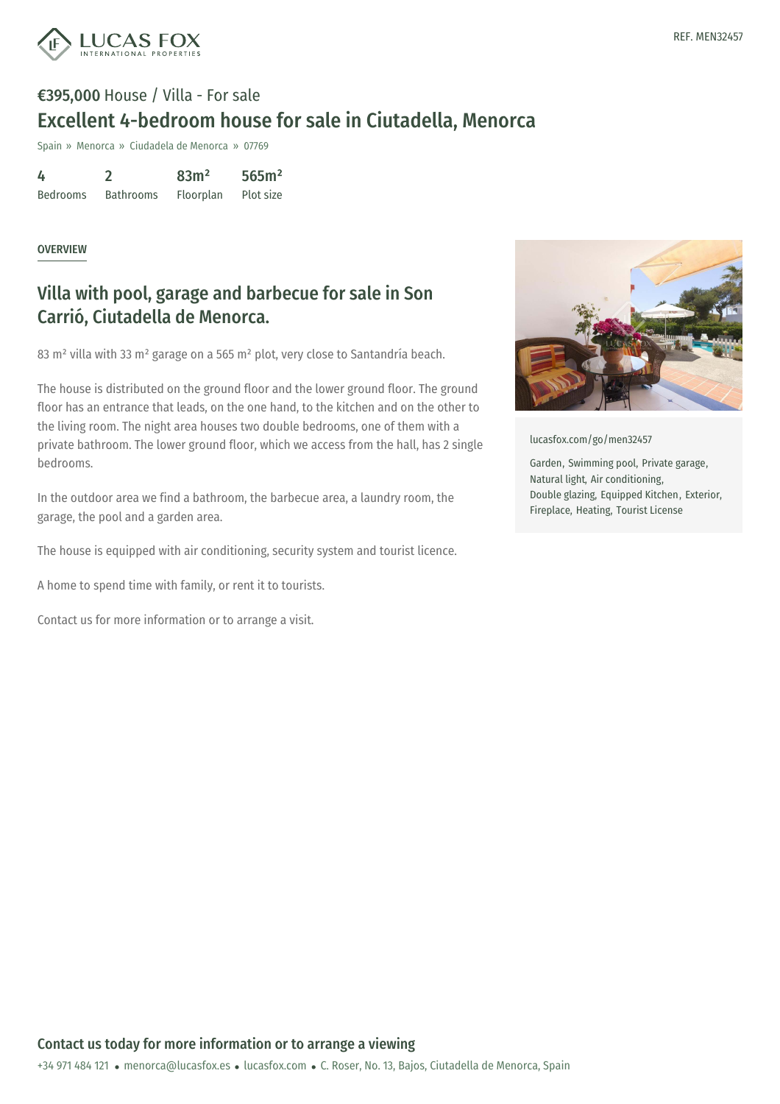

## €395,000 House / Villa - For sale Excellent 4-bedroom house for sale in Ciutadella, Menorca

Spain » Menorca » Ciudadela de Menorca » 07769

| 4               |                  | 83m <sup>2</sup> | 565m <sup>2</sup> |
|-----------------|------------------|------------------|-------------------|
| <b>Bedrooms</b> | <b>Bathrooms</b> | Floorplan        | Plot size         |

## OVERVIEW

## Villa with pool, garage and barbecue for sale in Son Carrió, Ciutadella de Menorca.

83 m² villa with 33 m² garage on a 565 m² plot, very close to Santandría beach.

The house is distributed on the ground floor and the lower ground floor. The ground floor has an entrance that leads, on the one hand, to the kitchen and on the other to the living room. The night area houses two double bedrooms, one of them with a private bathroom. The lower ground floor, which we access from the hall, has 2 single bedrooms.

In the outdoor area we find a bathroom, the barbecue area, a laundry room, the garage, the pool and a garden area.

The house is equipped with air conditioning, security system and tourist licence.

A home to spend time with family, or rent it to tourists.

Contact us for more information or to arrange a visit.



[lucasfox.com/go/men32457](https://www.lucasfox.com/go/men32457)

Garden, Swimming pool, Private garage, Natural light, Air conditioning, Double glazing, Equipped Kitchen, Exterior, Fireplace, Heating, Tourist License